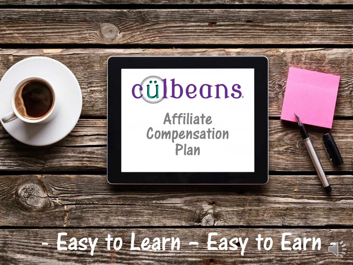# cülbeans.

zumpens<br>Plan **Competition** Affiliate Compensation Plan

Plan

## $\frac{1}{2}$  and the second intervention  $\frac{1}{2}$ - Easy to Learn – Easy to Earn -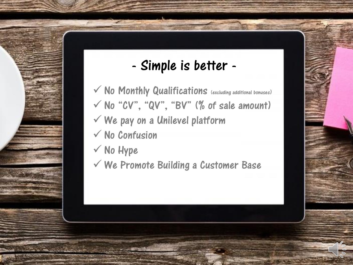## - Simple is better -

- $\checkmark$  No Monthly Qualifications (excluding additional bonuses)  $\checkmark$  No Confusion  $\checkmark$  No "CV", "QV", "BV" (% of sale amount)  $\checkmark$  We pay on a Unilevel platform
- $\checkmark$  No Hype
- $\checkmark$  We Promote Building a Customer Base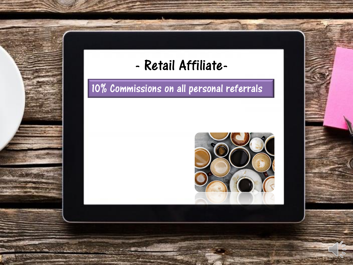

10% Commissions on all personal referrals

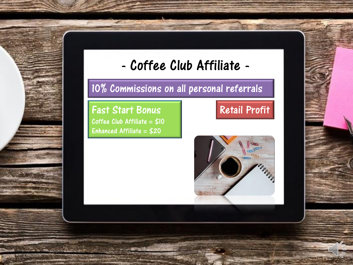

## - Coffee Club Affiliate -

### 10% Commissions on all personal referrals

Fast Start Bonus Coffee Club Affiliate =  $$10$ Enhanced Affiliate = \$20

## Retail Profit

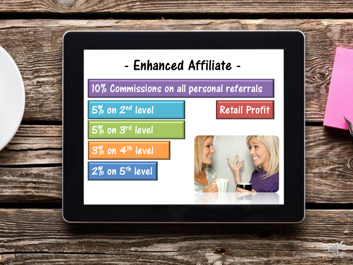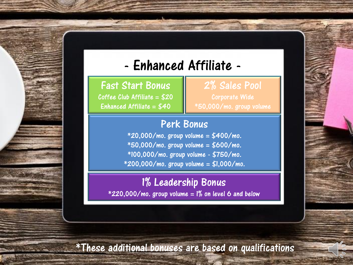## - Enhanced Affiliate -

#### Fast Start Bonus

Coffee Club Affiliate  $= $20$ Enhanced Affiliate =  $$40$ 

#### 2% Sales Pool

Corporate Wide \*50,000/mo. group volume

**A MONTH OF BUILDING** 

#### Perk Bonus

 $*20,000/$ mo. group volume = \$400/mo. \*50,000/mo. group volume = \$600/mo. \*100,000/mo. group volume - \$750/mo. \*200,000/mo. group volume = \$1,000/mo.

#### 1% Leadership Bonus  $*220,000/mol$ . group volume = 1% on level 6 and below

\*These additional bonuses are based on qualifications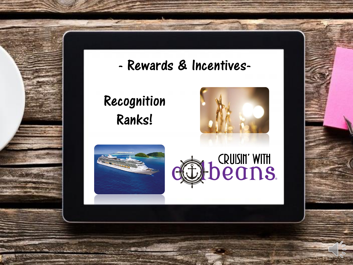

## - Rewards & Incentives-

Recognition Ranks!